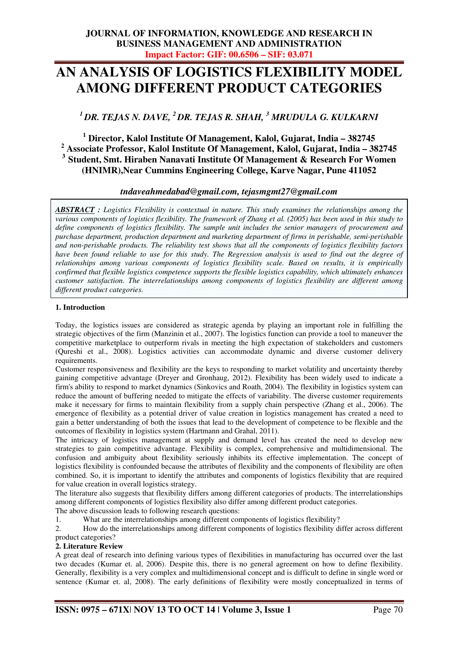# **AN ANALYSIS OF LOGISTICS FLEXIBILITY MODEL AMONG DIFFERENT PRODUCT CATEGORIES**

*<sup>1</sup>DR. TEJAS N. DAVE, <sup>2</sup>DR. TEJAS R. SHAH, <sup>3</sup> MRUDULA G. KULKARNI* 

  **Director, Kalol Institute Of Management, Kalol, Gujarat, India – 382745 Associate Professor, Kalol Institute Of Management, Kalol, Gujarat, India – 382745 Student, Smt. Hiraben Nanavati Institute Of Management & Research For Women (HNIMR),Near Cummins Engineering College, Karve Nagar, Pune 411052** 

# *tndaveahmedabad@gmail.com, tejasmgmt27@gmail.com*

*ABSTRACT : Logistics Flexibility is contextual in nature. This study examines the relationships among the various components of logistics flexibility. The framework of Zhang et al. (2005) has been used in this study to define components of logistics flexibility. The sample unit includes the senior managers of procurement and purchase department, production department and marketing department of firms in perishable, semi-perishable and non-perishable products. The reliability test shows that all the components of logistics flexibility factors have been found reliable to use for this study. The Regression analysis is used to find out the degree of relationships among various components of logistics flexibility scale. Based on results, it is empirically confirmed that flexible logistics competence supports the flexible logistics capability, which ultimately enhances customer satisfaction. The interrelationships among components of logistics flexibility are different among different product categories.* 

### **1. Introduction**

Today, the logistics issues are considered as strategic agenda by playing an important role in fulfilling the strategic objectives of the firm (Manzinin et al., 2007). The logistics function can provide a tool to maneuver the competitive marketplace to outperform rivals in meeting the high expectation of stakeholders and customers (Qureshi et al., 2008). Logistics activities can accommodate dynamic and diverse customer delivery requirements.

Customer responsiveness and flexibility are the keys to responding to market volatility and uncertainty thereby gaining competitive advantage (Dreyer and Gronhaug, 2012). Flexibility has been widely used to indicate a firm's ability to respond to market dynamics (Sinkovics and Roath, 2004). The flexibility in logistics system can reduce the amount of buffering needed to mitigate the effects of variability. The diverse customer requirements make it necessary for firms to maintain flexibility from a supply chain perspective (Zhang et al., 2006). The emergence of flexibility as a potential driver of value creation in logistics management has created a need to gain a better understanding of both the issues that lead to the development of competence to be flexible and the outcomes of flexibility in logistics system (Hartmann and Grahal, 2011).

The intricacy of logistics management at supply and demand level has created the need to develop new strategies to gain competitive advantage. Flexibility is complex, comprehensive and multidimensional. The confusion and ambiguity about flexibility seriously inhibits its effective implementation. The concept of logistics flexibility is confounded because the attributes of flexibility and the components of flexibility are often combined. So, it is important to identify the attributes and components of logistics flexibility that are required for value creation in overall logistics strategy.

The literature also suggests that flexibility differs among different categories of products. The interrelationships among different components of logistics flexibility also differ among different product categories.

The above discussion leads to following research questions:

1. What are the interrelationships among different components of logistics flexibility?<br>2. How do the interrelationships among different components of logistics flexibility di

2. How do the interrelationships among different components of logistics flexibility differ across different product categories?

### **2. Literature Review**

A great deal of research into defining various types of flexibilities in manufacturing has occurred over the last two decades (Kumar et. al, 2006). Despite this, there is no general agreement on how to define flexibility. Generally, flexibility is a very complex and multidimensional concept and is difficult to define in single word or sentence (Kumar et. al, 2008). The early definitions of flexibility were mostly conceptualized in terms of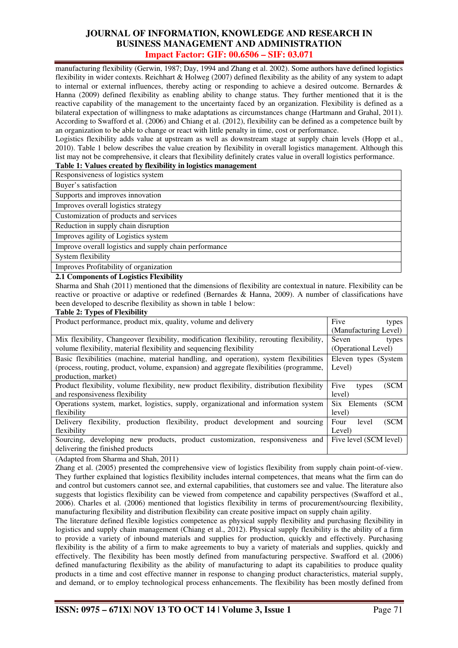manufacturing flexibility (Gerwin, 1987; Day, 1994 and Zhang et al. 2002). Some authors have defined logistics flexibility in wider contexts. Reichhart & Holweg (2007) defined flexibility as the ability of any system to adapt to internal or external influences, thereby acting or responding to achieve a desired outcome. Bernardes & Hanna (2009) defined flexibility as enabling ability to change status. They further mentioned that it is the reactive capability of the management to the uncertainty faced by an organization. Flexibility is defined as a bilateral expectation of willingness to make adaptations as circumstances change (Hartmann and Grahal, 2011). According to Swafford et al. (2006) and Chiang et al. (2012), flexibility can be defined as a competence built by an organization to be able to change or react with little penalty in time, cost or performance.

Logistics flexibility adds value at upstream as well as downstream stage at supply chain levels (Hopp et al., 2010). Table 1 below describes the value creation by flexibility in overall logistics management. Although this list may not be comprehensive, it clears that flexibility definitely crates value in overall logistics performance.

### **Table 1: Values created by flexibility in logistics management**

Responsiveness of logistics system

Buyer's satisfaction

Supports and improves innovation

Improves overall logistics strategy

Customization of products and services

Reduction in supply chain disruption

Improves agility of Logistics system

Improve overall logistics and supply chain performance

System flexibility

Improves Profitability of organization

### **2.1 Components of Logistics Flexibility**

Sharma and Shah (2011) mentioned that the dimensions of flexibility are contextual in nature. Flexibility can be reactive or proactive or adaptive or redefined (Bernardes & Hanna, 2009). A number of classifications have been developed to describe flexibility as shown in table 1 below:

### **Table 2: Types of Flexibility**

| Product performance, product mix, quality, volume and delivery                             | Five<br>types          |  |
|--------------------------------------------------------------------------------------------|------------------------|--|
|                                                                                            | (Manufacturing Level)  |  |
| Mix flexibility, Changeover flexibility, modification flexibility, rerouting flexibility,  | Seven<br>types         |  |
| volume flexibility, material flexibility and sequencing flexibility                        | (Operational Level)    |  |
| Basic flexibilities (machine, material handling, and operation), system flexibilities      | Eleven types (System   |  |
| (process, routing, product, volume, expansion) and aggregate flexibilities (programme,     | Level)                 |  |
| production, market)                                                                        |                        |  |
| Product flexibility, volume flexibility, new product flexibility, distribution flexibility | Five<br>(SCM<br>types  |  |
| and responsiveness flexibility                                                             | level)                 |  |
| Operations system, market, logistics, supply, organizational and information system        | (SCM<br>Six Elements   |  |
| flexibility                                                                                | level)                 |  |
| flexibility, production flexibility, product development and sourcing<br><b>Delivery</b>   | (SCM<br>Four<br>level  |  |
| flexibility                                                                                | Level)                 |  |
| Sourcing, developing new products, product customization, responsiveness and               | Five level (SCM level) |  |
| delivering the finished products                                                           |                        |  |

(Adapted from Sharma and Shah, 2011)

Zhang et al. (2005) presented the comprehensive view of logistics flexibility from supply chain point-of-view. They further explained that logistics flexibility includes internal competences, that means what the firm can do and control but customers cannot see, and external capabilities, that customers see and value. The literature also suggests that logistics flexibility can be viewed from competence and capability perspectives (Swafford et al., 2006). Charles et al. (2006) mentioned that logistics flexibility in terms of procurement/sourcing flexibility, manufacturing flexibility and distribution flexibility can create positive impact on supply chain agility.

The literature defined flexible logistics competence as physical supply flexibility and purchasing flexibility in logistics and supply chain management (Chiang et al., 2012). Physical supply flexibility is the ability of a firm to provide a variety of inbound materials and supplies for production, quickly and effectively. Purchasing flexibility is the ability of a firm to make agreements to buy a variety of materials and supplies, quickly and effectively. The flexibility has been mostly defined from manufacturing perspective. Swafford et al. (2006) defined manufacturing flexibility as the ability of manufacturing to adapt its capabilities to produce quality products in a time and cost effective manner in response to changing product characteristics, material supply, and demand, or to employ technological process enhancements. The flexibility has been mostly defined from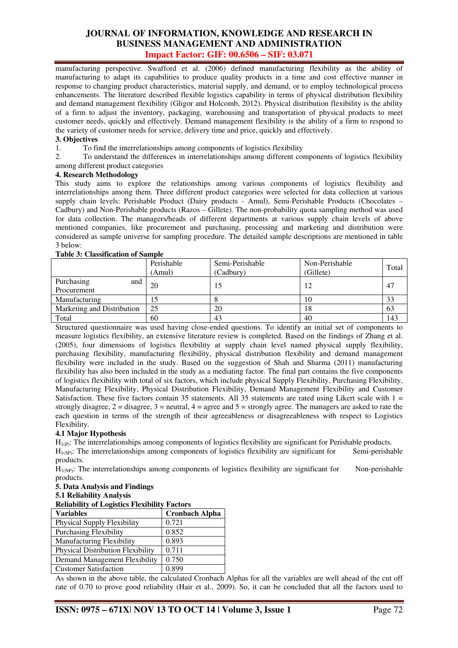manufacturing perspective. Swafford et al. (2006) defined manufacturing flexibility as the ability of manufacturing to adapt its capabilities to produce quality products in a time and cost effective manner in response to changing product characteristics, material supply, and demand, or to employ technological process enhancements. The literature described flexible logistics capability in terms of physical distribution flexibility and demand management flexibility (Gligor and Holcomb, 2012). Physical distribution flexibility is the ability of a firm to adjust the inventory, packaging, warehousing and transportation of physical products to meet customer needs, quickly and effectively. Demand management flexibility is the ability of a firm to respond to the variety of customer needs for service, delivery time and price, quickly and effectively.

### **3. Objectives**

1. To find the interrelationships among components of logistics flexibility<br>2. To understand the differences in interrelationships among different com-

2. To understand the differences in interrelationships among different components of logistics flexibility among different product categories

### **4. Research Methodology**

This study aims to explore the relationships among various components of logistics flexibility and interrelationships among them. Three different product categories were selected for data collection at various supply chain levels: Perishable Product (Dairy products - Amul), Semi-Perishable Products (Chocolates – Cadbury) and Non-Perishable products (Razos – Gillete). The non-probability quota sampling method was used for data collection. The managers/heads of different departments at various supply chain levels of above mentioned companies, like procurement and purchasing, processing and marketing and distribution were considered as sample universe for sampling procedure. The detailed sample descriptions are mentioned in table 3 below:

### **Table 3: Classification of Sample**

|                                  | Perishable<br>(Amul) | Semi-Perishable<br>(Cadbury) | Non-Perishable<br>(Gillete) | Total |
|----------------------------------|----------------------|------------------------------|-----------------------------|-------|
| Purchasing<br>and<br>Procurement | 20                   | L5                           | 12                          | 47    |
| Manufacturing                    |                      |                              | 10                          | 33    |
| Marketing and Distribution       | 25                   | 20                           | 18                          | 63    |
| Total                            | 60                   | 43                           | 40                          | 143   |

Structured questionnaire was used having close-ended questions. To identify an initial set of components to measure logistics flexibility, an extensive literature review is completed. Based on the findings of Zhang et al. (2005), four dimensions of logistics flexibility at supply chain level named physical supply flexibility, purchasing flexibility, manufacturing flexibility, physical distribution flexibility and demand management flexibility were included in the study. Based on the suggestion of Shah and Sharma (2011) manufacturing flexibility has also been included in the study as a mediating factor. The final part contains the five components of logistics flexibility with total of six factors, which include physical Supply Flexibility, Purchasing Flexibility, Manufacturing Flexibility, Physical Distribution Flexibility, Demand Management Flexibility and Customer Satisfaction. These five factors contain 35 statements. All 35 statements are rated using Likert scale with  $1 =$ strongly disagree,  $2 =$  disagree,  $3 =$  neutral,  $4 =$  agree and  $5 =$  strongly agree. The managers are asked to rate the each question in terms of the strength of their agreeableness or disagreeableness with respect to Logistics Flexibility.

### **4.1 Major Hypothesis**

 $H_{1(P)}$ : The interrelationships among components of logistics flexibility are significant for Perishable products.<br>H<sub>1(P)</sub>: The interrelationships among components of logistics flexibility are significant for Semi-perisha  $H<sub>1</sub>(s<sub>P</sub>)$ : The interrelationships among components of logistics flexibility are significant for products.

 $H_{1(P)}$ : The interrelationships among components of logistics flexibility are significant for Non-perishable products.

# **5. Data Analysis and Findings**

# **5.1 Reliability Analysis**

# **Reliability of Logistics Flexibility Factors**

| <b>Variables</b>                         | <b>Cronbach Alpha</b> |
|------------------------------------------|-----------------------|
| Physical Supply Flexibility              | 0.721                 |
| <b>Purchasing Flexibility</b>            | 0.852                 |
| <b>Manufacturing Flexibility</b>         | 0.893                 |
| <b>Physical Distribution Flexibility</b> | 0.711                 |
| Demand Management Flexibility            | 0.750                 |
| <b>Customer Satisfaction</b>             | 0.899                 |

As shown in the above table, the calculated Cronbach Alphas for all the variables are well ahead of the cut off rate of 0.70 to prove good reliability (Hair et al., 2009). So, it can be concluded that all the factors used to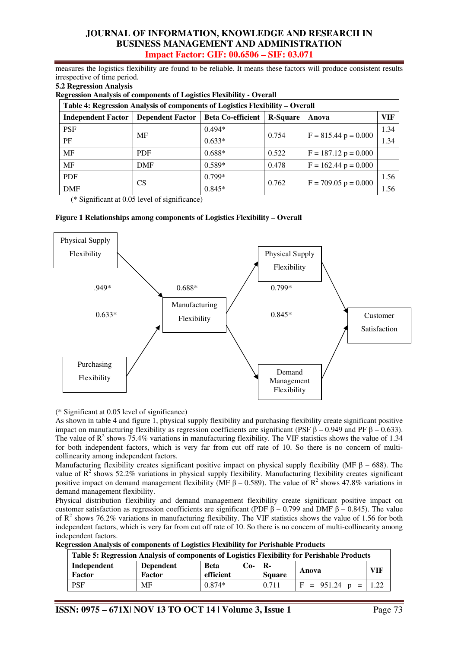measures the logistics flexibility are found to be reliable. It means these factors will produce consistent results irrespective of time period.

### **5.2 Regression Analysis**

**Regression Analysis of components of Logistics Flexibility - Overall** 

| Table 4: Regression Analysis of components of Logistics Flexibility – Overall |                         |                          |                 |                        |      |  |  |
|-------------------------------------------------------------------------------|-------------------------|--------------------------|-----------------|------------------------|------|--|--|
| <b>Independent Factor</b>                                                     | <b>Dependent Factor</b> | <b>Beta Co-efficient</b> | <b>R-Square</b> | Anova                  | VIF  |  |  |
| <b>PSF</b>                                                                    |                         | $0.494*$                 |                 |                        | 1.34 |  |  |
| PF                                                                            | MF                      | 0.754<br>$0.633*$        |                 | $F = 815.44 p = 0.000$ | 1.34 |  |  |
| MF                                                                            | <b>PDF</b>              | $0.688*$                 | 0.522           | $F = 187.12 p = 0.000$ |      |  |  |
| MF                                                                            | <b>DMF</b>              | $0.589*$                 | 0.478           | $F = 162.44 p = 0.000$ |      |  |  |
| <b>PDF</b>                                                                    | <b>CS</b>               | $0.799*$                 |                 |                        | 1.56 |  |  |
| <b>DMF</b>                                                                    |                         | $0.845*$                 | 0.762           | $F = 709.05 p = 0.000$ | 1.56 |  |  |

(\* Significant at 0.05 level of significance)

### **Figure 1 Relationships among components of Logistics Flexibility – Overall**



(\* Significant at 0.05 level of significance)

As shown in table 4 and figure 1, physical supply flexibility and purchasing flexibility create significant positive impact on manufacturing flexibility as regression coefficients are significant (PSF  $\beta$  – 0.949 and PF  $\beta$  – 0.633). The value of  $R^2$  shows 75.4% variations in manufacturing flexibility. The VIF statistics shows the value of 1.34 for both independent factors, which is very far from cut off rate of 10. So there is no concern of multicollinearity among independent factors.

Manufacturing flexibility creates significant positive impact on physical supply flexibility (MF  $\beta$  – 688). The value of  $\mathbb{R}^2$  shows 52.2% variations in physical supply flexibility. Manufacturing flexibility creates significant positive impact on demand management flexibility (MF  $\beta$  – 0.589). The value of R<sup>2</sup> shows 47.8% variations in demand management flexibility.

Physical distribution flexibility and demand management flexibility create significant positive impact on customer satisfaction as regression coefficients are significant (PDF  $\beta$  – 0.799 and DMF  $\beta$  – 0.845). The value of  $R^2$  shows 76.2% variations in manufacturing flexibility. The VIF statistics shows the value of 1.56 for both independent factors, which is very far from cut off rate of 10. So there is no concern of multi-collinearity among independent factors.

| <b>Regression Analysis of components of Logistics Flexibility for Perishable Products</b> |
|-------------------------------------------------------------------------------------------|
|-------------------------------------------------------------------------------------------|

| Table 5: Regression Analysis of components of Logistics Flexibility for Perishable Products |                            |                                   |                       |                                  |     |  |
|---------------------------------------------------------------------------------------------|----------------------------|-----------------------------------|-----------------------|----------------------------------|-----|--|
| Independent<br>Factor                                                                       | <b>Dependent</b><br>Factor | $Co-$<br><b>Beta</b><br>efficient | - R-<br><b>Square</b> | Anova                            | VIF |  |
| <b>PSF</b>                                                                                  | MF                         | $0.874*$                          | 0.711                 | $ F = 951.24 \text{ p} =   1.22$ |     |  |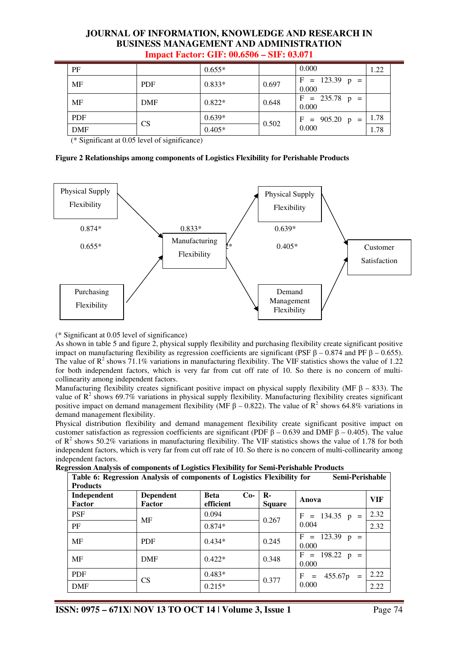| PF         |            | $0.655*$ |       | 0.000                     | 1.22 |
|------------|------------|----------|-------|---------------------------|------|
| <b>MF</b>  | <b>PDF</b> | $0.833*$ | 0.697 | $F = 123.39 p =$<br>0.000 |      |
| <b>MF</b>  | DMF        | $0.822*$ | 0.648 | $F = 235.78 p =$<br>0.000 |      |
| <b>PDF</b> |            | $0.639*$ |       | $F = 905.20 p =$          | 1.78 |
| <b>DMF</b> | CS         | $0.405*$ | 0.502 | 0.000                     | 1.78 |

(\* Significant at 0.05 level of significance)

### **Figure 2 Relationships among components of Logistics Flexibility for Perishable Products**



### (\* Significant at 0.05 level of significance)

As shown in table 5 and figure 2, physical supply flexibility and purchasing flexibility create significant positive impact on manufacturing flexibility as regression coefficients are significant (PSF β – 0.874 and PF β – 0.655). The value of  $R^2$  shows 71.1% variations in manufacturing flexibility. The VIF statistics shows the value of 1.22 for both independent factors, which is very far from cut off rate of 10. So there is no concern of multicollinearity among independent factors.

Manufacturing flexibility creates significant positive impact on physical supply flexibility (MF  $\beta$  – 833). The value of  $\mathbb{R}^2$  shows 69.7% variations in physical supply flexibility. Manufacturing flexibility creates significant positive impact on demand management flexibility (MF  $\beta$  – 0.822). The value of R<sup>2</sup> shows 64.8% variations in demand management flexibility.

Physical distribution flexibility and demand management flexibility create significant positive impact on customer satisfaction as regression coefficients are significant (PDF  $β - 0.639$  and DMF  $β - 0.405$ ). The value of  $R^2$  shows 50.2% variations in manufacturing flexibility. The VIF statistics shows the value of 1.78 for both independent factors, which is very far from cut off rate of 10. So there is no concern of multi-collinearity among independent factors.<br>Regression Analysis

**Regression Analysis of components of Logistics Flexibility for Semi-Perishable Products** 

| gression Anarysis of Components of Logistics Piexibility for Senn-1 efisitable 1 founcts<br>Table 6: Regression Analysis of components of Logistics Flexibility for<br>Semi-Perishable<br><b>Products</b> |                            |                          |       |                               |                            |            |  |
|-----------------------------------------------------------------------------------------------------------------------------------------------------------------------------------------------------------|----------------------------|--------------------------|-------|-------------------------------|----------------------------|------------|--|
| Independent<br>Factor                                                                                                                                                                                     | <b>Dependent</b><br>Factor | <b>Beta</b><br>efficient | $Co-$ | $\mathbf{R}$<br><b>Square</b> | Anova                      | <b>VIF</b> |  |
| <b>PSF</b>                                                                                                                                                                                                | MF                         | 0.094                    |       |                               | $F = 134.35 p =$           | 2.32       |  |
| PF                                                                                                                                                                                                        |                            | $0.874*$                 |       | 0.267                         | 0.004                      | 2.32       |  |
| MF                                                                                                                                                                                                        | <b>PDF</b>                 | $0.434*$                 |       | 0.245                         | $F = 123.39$ p =<br>0.000  |            |  |
| MF                                                                                                                                                                                                        | <b>DMF</b>                 | $0.422*$                 |       | 0.348                         | $F = 198.22 p =$<br>0.000  |            |  |
| <b>PDF</b>                                                                                                                                                                                                |                            | $0.483*$                 |       |                               | 455.67p<br>F<br>$=$<br>$=$ | 2.22       |  |
| <b>DMF</b>                                                                                                                                                                                                | CS                         | $0.215*$                 |       | 0.377                         | 0.000                      | 2.22       |  |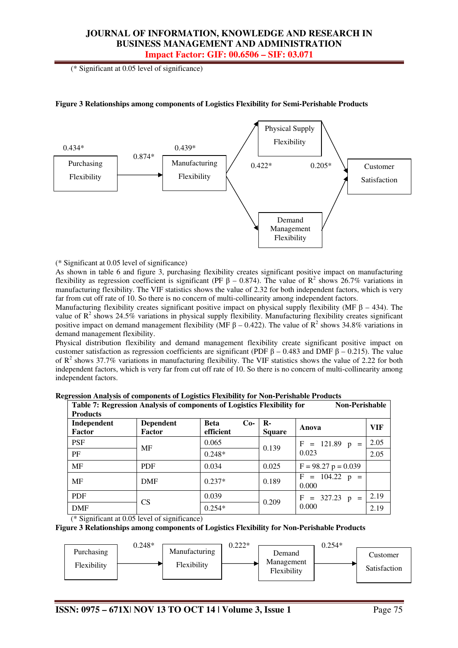(\* Significant at 0.05 level of significance)



### **Figure 3 Relationships among components of Logistics Flexibility for Semi-Perishable Products**

(\* Significant at 0.05 level of significance)

As shown in table 6 and figure 3, purchasing flexibility creates significant positive impact on manufacturing flexibility as regression coefficient is significant (PF  $\beta$  – 0.874). The value of R<sup>2</sup> shows 26.7% variations in manufacturing flexibility. The VIF statistics shows the value of 2.32 for both independent factors, which is very far from cut off rate of 10. So there is no concern of multi-collinearity among independent factors.

Manufacturing flexibility creates significant positive impact on physical supply flexibility (MF  $\beta$  – 434). The value of  $\mathbb{R}^2$  shows 24.5% variations in physical supply flexibility. Manufacturing flexibility creates significant positive impact on demand management flexibility (MF  $\beta$  – 0.422). The value of  $\mathbb{R}^2$  shows 34.8% variations in demand management flexibility.

Physical distribution flexibility and demand management flexibility create significant positive impact on customer satisfaction as regression coefficients are significant (PDF  $\beta$  – 0.483 and DMF  $\beta$  – 0.215). The value of  $R^2$  shows 37.7% variations in manufacturing flexibility. The VIF statistics shows the value of 2.22 for both independent factors, which is very far from cut off rate of 10. So there is no concern of multi-collinearity among independent factors.

| Table 7: Regression Analysis of components of Logistics Flexibility for<br><b>Non-Perishable</b><br><b>Products</b> |                            |                                   |                               |                           |            |  |  |
|---------------------------------------------------------------------------------------------------------------------|----------------------------|-----------------------------------|-------------------------------|---------------------------|------------|--|--|
| Independent<br>Factor                                                                                               | <b>Dependent</b><br>Factor | <b>Beta</b><br>$Co-$<br>efficient | $\mathbf{R}$<br><b>Square</b> | Anova                     | <b>VIF</b> |  |  |
| <b>PSF</b>                                                                                                          | MF                         | 0.065                             | 0.139                         | $F = 121.89$ p =          | 2.05       |  |  |
| PF                                                                                                                  |                            | $0.248*$                          |                               | 0.023                     | 2.05       |  |  |
| <b>MF</b>                                                                                                           | <b>PDF</b>                 | 0.034                             | 0.025                         | $F = 98.27 p = 0.039$     |            |  |  |
| <b>MF</b>                                                                                                           | <b>DMF</b>                 | $0.237*$                          | 0.189                         | $F = 104.22$ p =<br>0.000 |            |  |  |
| <b>PDF</b>                                                                                                          | <b>CS</b>                  | 0.039                             | 0.209                         | $= 327.23$ p =<br>$F_{-}$ | 2.19       |  |  |
| <b>DMF</b>                                                                                                          |                            | $0.254*$                          |                               | 0.000                     | 2.19       |  |  |

**Regression Analysis of components of Logistics Flexibility for Non-Perishable Products** 

(\* Significant at 0.05 level of significance)

**Figure 3 Relationships among components of Logistics Flexibility for Non-Perishable Products** 

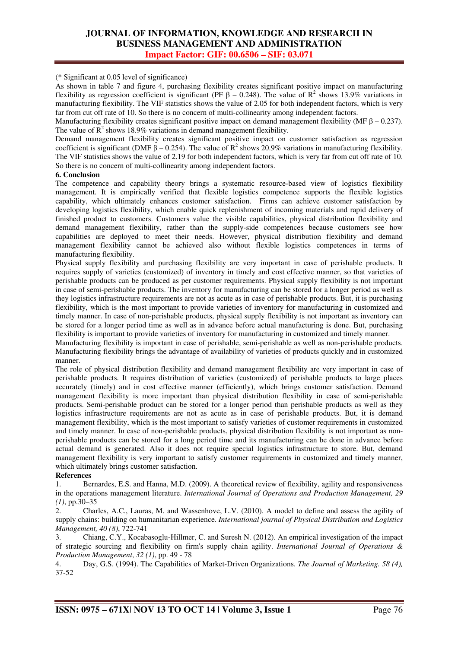(\* Significant at 0.05 level of significance)

As shown in table 7 and figure 4, purchasing flexibility creates significant positive impact on manufacturing flexibility as regression coefficient is significant (PF  $\beta$  – 0.248). The value of R<sup>2</sup> shows 13.9% variations in manufacturing flexibility. The VIF statistics shows the value of 2.05 for both independent factors, which is very far from cut off rate of 10. So there is no concern of multi-collinearity among independent factors.

Manufacturing flexibility creates significant positive impact on demand management flexibility (MF  $\beta$  – 0.237). The value of  $\mathbb{R}^2$  shows 18.9% variations in demand management flexibility.

Demand management flexibility creates significant positive impact on customer satisfaction as regression coefficient is significant (DMF  $\beta$  – 0.254). The value of  $\mathbb{R}^2$  shows 20.9% variations in manufacturing flexibility. The VIF statistics shows the value of 2.19 for both independent factors, which is very far from cut off rate of 10. So there is no concern of multi-collinearity among independent factors.

#### **6. Conclusion**

The competence and capability theory brings a systematic resource-based view of logistics flexibility management. It is empirically verified that flexible logistics competence supports the flexible logistics capability, which ultimately enhances customer satisfaction. Firms can achieve customer satisfaction by developing logistics flexibility, which enable quick replenishment of incoming materials and rapid delivery of finished product to customers. Customers value the visible capabilities, physical distribution flexibility and demand management flexibility, rather than the supply-side competences because customers see how capabilities are deployed to meet their needs. However, physical distribution flexibility and demand management flexibility cannot be achieved also without flexible logistics competences in terms of manufacturing flexibility.

Physical supply flexibility and purchasing flexibility are very important in case of perishable products. It requires supply of varieties (customized) of inventory in timely and cost effective manner, so that varieties of perishable products can be produced as per customer requirements. Physical supply flexibility is not important in case of semi-perishable products. The inventory for manufacturing can be stored for a longer period as well as they logistics infrastructure requirements are not as acute as in case of perishable products. But, it is purchasing flexibility, which is the most important to provide varieties of inventory for manufacturing in customized and timely manner. In case of non-perishable products, physical supply flexibility is not important as inventory can be stored for a longer period time as well as in advance before actual manufacturing is done. But, purchasing flexibility is important to provide varieties of inventory for manufacturing in customized and timely manner.

Manufacturing flexibility is important in case of perishable, semi-perishable as well as non-perishable products. Manufacturing flexibility brings the advantage of availability of varieties of products quickly and in customized manner.

The role of physical distribution flexibility and demand management flexibility are very important in case of perishable products. It requires distribution of varieties (customized) of perishable products to large places accurately (timely) and in cost effective manner (efficiently), which brings customer satisfaction. Demand management flexibility is more important than physical distribution flexibility in case of semi-perishable products. Semi-perishable product can be stored for a longer period than perishable products as well as they logistics infrastructure requirements are not as acute as in case of perishable products. But, it is demand management flexibility, which is the most important to satisfy varieties of customer requirements in customized and timely manner. In case of non-perishable products, physical distribution flexibility is not important as nonperishable products can be stored for a long period time and its manufacturing can be done in advance before actual demand is generated. Also it does not require special logistics infrastructure to store. But, demand management flexibility is very important to satisfy customer requirements in customized and timely manner, which ultimately brings customer satisfaction.

### **References**

1. Bernardes, E.S. and Hanna, M.D. (2009). A theoretical review of flexibility, agility and responsiveness in the operations management literature. *International Journal of Operations and Production Management, 29 (1)*, pp.30–35

2. Charles, A.C., Lauras, M. and Wassenhove, L.V. (2010). A model to define and assess the agility of supply chains: building on humanitarian experience. *International journal of Physical Distribution and Logistics Management, 40 (8)*, 722-741

3. Chiang, C.Y., Kocabasoglu-Hillmer, C. and Suresh N. (2012). An empirical investigation of the impact of strategic sourcing and flexibility on firm's supply chain agility. *International Journal of Operations & Production Management*, *32 (1)*, pp. 49 - 78

4. Day, G.S. (1994). The Capabilities of Market-Driven Organizations. *The Journal of Marketing. 58 (4),* 37-52